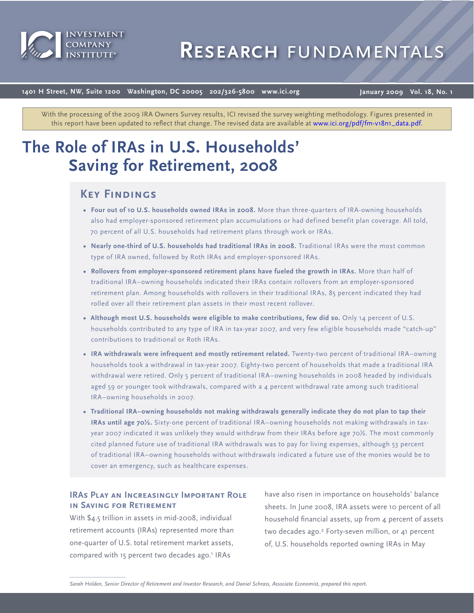

# **Research** fundamentals

**1401 H Street, NW, Suite 1200 Washington, DC 20005 202/326-5800 www.ici.org**

**January 2009 Vol. 18, No. 1**

With the processing of the 2009 IRA Owners Survey results, ICI revised the survey weighting methodology. Figures presented in this report have been updated to reflect that change. The revised data are available [at www.ici.org/pdf/fm-v18n1\\_data.pdf.](http://www.ici.org/pdf/fm-v18n1_data.pdf)

# **The Role of IRAs in U.S. Households' Saving for Retirement, 2008**

# **Key Findings**

- **Four out of 10 U.S. households owned IRAs in 2008.** More than three-quarters of IRA-owning households also had employer-sponsored retirement plan accumulations or had defined benefit plan coverage. All told, 70 percent of all U.S. households had retirement plans through work or IRAs.
- **Nearly one-third of U.S. households had traditional IRAs in 2008.** Traditional IRAs were the most common type of IRA owned, followed by Roth IRAs and employer-sponsored IRAs.
- **Rollovers from employer-sponsored retirement plans have fueled the growth in IRAs.** More than half of traditional IRA–owning households indicated their IRAs contain rollovers from an employer-sponsored retirement plan. Among households with rollovers in their traditional IRAs, 85 percent indicated they had rolled over all their retirement plan assets in their most recent rollover.
- Although most U.S. households were eligible to make contributions, few did so. Only 14 percent of U.S. households contributed to any type of IRA in tax-year 2007, and very few eligible households made "catch-up" contributions to traditional or Roth IRAs.
- **IRA withdrawals were infrequent and mostly retirement related.** Twenty-two percent of traditional IRA–owning households took a withdrawal in tax-year 2007. Eighty-two percent of households that made a traditional IRA withdrawal were retired. Only 5 percent of traditional IRA-owning households in 2008 headed by individuals aged 59 or younger took withdrawals, compared with a 4 percent withdrawal rate among such traditional IRA–owning households in 2007.
- **Traditional IRA–owning households not making withdrawals generally indicate they do not plan to tap their IRAs until age 70½.** Sixty-one percent of traditional IRA–owning households not making withdrawals in taxyear 2007 indicated it was unlikely they would withdraw from their IRAs before age 70½. The most commonly cited planned future use of traditional IRA withdrawals was to pay for living expenses, although 53 percent of traditional IRA–owning households without withdrawals indicated a future use of the monies would be to cover an emergency, such as healthcare expenses.

# **IRAs Play an Increasingly Important Role in Saving for Retirement**

With \$4.5 trillion in assets in mid-2008, individual retirement accounts (IRAs) represented more than one-quarter of U.S. total retirement market assets, compared with 15 percent two decades ago.<sup>1</sup> IRAs

have also risen in importance on households' balance sheets. In June 2008, IRA assets were 10 percent of all household financial assets, up from 4 percent of assets two decades ago.<sup>2</sup> Forty-seven million, or 41 percent of, U.S. households reported owning IRAs in May

*Sarah Holden, Senior Director of Retirement and Investor Research, and Daniel Schrass, Associate Economist, prepared this report.*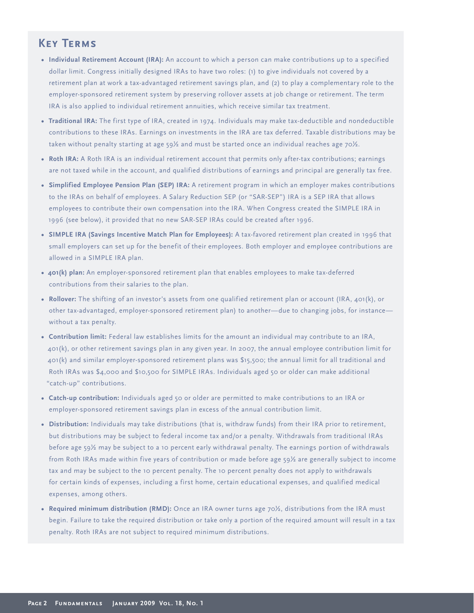# **Key Terms**

- **Individual Retirement Account (IRA):** An account to which a person can make contributions up to a specified dollar limit. Congress initially designed IRAs to have two roles: (1) to give individuals not covered by a retirement plan at work a tax-advantaged retirement savings plan, and (2) to play a complementary role to the employer-sponsored retirement system by preserving rollover assets at job change or retirement. The term IRA is also applied to individual retirement annuities, which receive similar tax treatment.
- **Traditional IRA:** The first type of IRA, created in 1974. Individuals may make tax-deductible and nondeductible contributions to these IRAs. Earnings on investments in the IRA are tax deferred. Taxable distributions may be taken without penalty starting at age 59½ and must be started once an individual reaches age 70½.
- **Roth IRA:** A Roth IRA is an individual retirement account that permits only after-tax contributions; earnings are not taxed while in the account, and qualified distributions of earnings and principal are generally tax free.
- **Simplified Employee Pension Plan (SEP) IRA:** A retirement program in which an employer makes contributions to the IRAs on behalf of employees. A Salary Reduction SEP (or "SAR-SEP") IRA is a SEP IRA that allows employees to contribute their own compensation into the IRA. When Congress created the SIMPLE IRA in 1996 (see below), it provided that no new SAR-SEP IRAs could be created after 1996.
- **SIMPLE IRA (Savings Incentive Match Plan for Employees):** A tax-favored retirement plan created in 1996 that small employers can set up for the benefit of their employees. Both employer and employee contributions are allowed in a SIMPLE IRA plan.
- **401(k) plan:** An employer-sponsored retirement plan that enables employees to make tax-deferred contributions from their salaries to the plan.
- **Rollover:** The shifting of an investor's assets from one qualified retirement plan or account (IRA, 401(k), or other tax-advantaged, employer-sponsored retirement plan) to another—due to changing jobs, for instance without a tax penalty.
- **Contribution limit:** Federal law establishes limits for the amount an individual may contribute to an IRA, 401(k), or other retirement savings plan in any given year. In 2007, the annual employee contribution limit for 401(k) and similar employer-sponsored retirement plans was \$15,500; the annual limit for all traditional and Roth IRAs was \$4,000 and \$10,500 for SIMPLE IRAs. Individuals aged 50 or older can make additional "catch-up" contributions.
- **Catch-up contribution:** Individuals aged 50 or older are permitted to make contributions to an IRA or employer-sponsored retirement savings plan in excess of the annual contribution limit.
- **Distribution:** Individuals may take distributions (that is, withdraw funds) from their IRA prior to retirement, but distributions may be subject to federal income tax and/or a penalty. Withdrawals from traditional IRAs before age 59½ may be subject to a 10 percent early withdrawal penalty. The earnings portion of withdrawals from Roth IRAs made within five years of contribution or made before age 59½ are generally subject to income tax and may be subject to the 10 percent penalty. The 10 percent penalty does not apply to withdrawals for certain kinds of expenses, including a first home, certain educational expenses, and qualified medical expenses, among others.
- **Required minimum distribution (RMD):** Once an IRA owner turns age 70½, distributions from the IRA must begin. Failure to take the required distribution or take only a portion of the required amount will result in a tax penalty. Roth IRAs are not subject to required minimum distributions.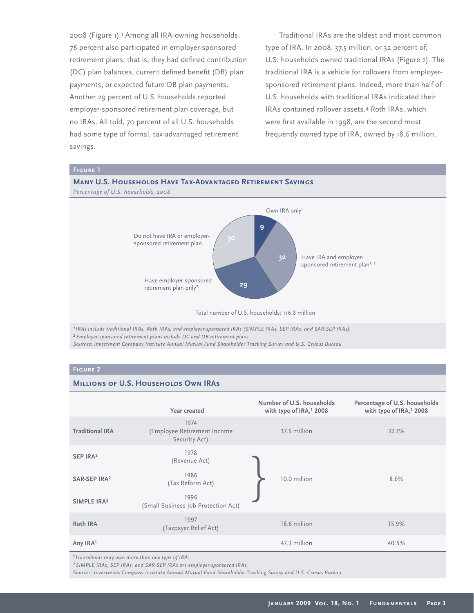2008 (Figure 1).<sup>3</sup> Among all IRA-owning households, 78 percent also participated in employer-sponsored retirement plans; that is, they had defined contribution (DC) plan balances, current defined benefit (DB) plan payments, or expected future DB plan payments. Another 29 percent of U.S. households reported employer-sponsored retirement plan coverage, but no IRAs. All told, 70 percent of all U.S. households had some type of formal, tax-advantaged retirement savings.

Traditional IRAs are the oldest and most common type of IRA. In 2008, 37.5 million, or 32 percent of, U.S. households owned traditional IRAs (Figure 2). The traditional IRA is a vehicle for rollovers from employersponsored retirement plans. Indeed, more than half of U.S. households with traditional IRAs indicated their IRAs contained rollover assets.<sup>4</sup> Roth IRAs, which were first available in 1998, are the second most frequently owned type of IRA, owned by 18.6 million,

# **Many U.S. Households Have Tax-Advantaged Retirement Savings** *Percentage of U.S. households, 2008* Do not have IRA or employersponsored retirement plan **9 32 29** Total number of U.S. households: 116.8 million Own IRA only<sup>1</sup> Have IRA and employersponsored retirement plan<sup>1, 2</sup> Have employer-sponsored retirement plan only<sup>2</sup>

*1IRAs include traditional IRAs, Roth IRAs, and employer-sponsored IRAs (SIMPLE IRAs, SEP IRAs, and SAR-SEP IRAs). 2Employer-sponsored retirement plans include DC and DB retirement plans. Sources: Investment Company Institute Annual Mutual Fund Shareholder Tracking Survey and U.S. Census Bureau*

# **Figure 2**

# **MILLIONS OF U.S. HOUSEHOLDS OWN IRAS**

|                          | Year created                                         | Number of U.S. households<br>with type of IRA, <sup>1</sup> 2008 | Percentage of U.S. households<br>with type of IRA, <sup>1</sup> 2008 |
|--------------------------|------------------------------------------------------|------------------------------------------------------------------|----------------------------------------------------------------------|
| <b>Traditional IRA</b>   | 1974<br>(Employee Retirement Income<br>Security Act) | 37.5 million                                                     | 32.1%                                                                |
| SEP IRA <sup>2</sup>     | 1978<br>(Revenue Act)                                |                                                                  |                                                                      |
| SAR-SEP IRA <sup>2</sup> | 1986<br>(Tax Reform Act)                             | 10.0 million                                                     | 8.6%                                                                 |
| SIMPLE IRA <sup>2</sup>  | 1996<br>(Small Business Job Protection Act)          |                                                                  |                                                                      |
| <b>Roth IRA</b>          | 1997<br>(Taxpayer Relief Act)                        | 18.6 million                                                     | 15.9%                                                                |
| Any IRA1                 |                                                      | 47.3 million                                                     | 40.5%                                                                |

*1Households may own more than one type of IRA.*

*2SIMPLE IRAs, SEP IRAs, and SAR-SEP IRAs are employer-sponsored IRAs.*

*Sources: Investment Company Institute Annual Mutual Fund Shareholder Tracking Survey and U.S. Census Bureau*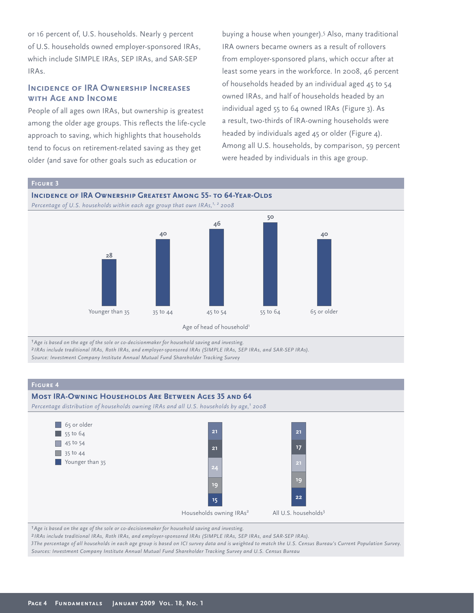or 16 percent of, U.S. households. Nearly 9 percent of U.S. households owned employer-sponsored IRAs, which include SIMPLE IRAs, SEP IRAs, and SAR-SEP IRAs.

# **INCIDENCE OF IRA OWNERSHIP INCREASES with Age and Income**

People of all ages own IRAs, but ownership is greatest among the older age groups. This reflects the life-cycle approach to saving, which highlights that households tend to focus on retirement-related saving as they get older (and save for other goals such as education or

buying a house when younger).<sup>5</sup> Also, many traditional IRA owners became owners as a result of rollovers from employer-sponsored plans, which occur after at least some years in the workforce. In 2008, 46 percent of households headed by an individual aged 45 to 54 owned IRAs, and half of households headed by an individual aged 55 to 64 owned IRAs (Figure 3). As a result, two-thirds of IRA-owning households were headed by individuals aged 45 or older (Figure 4). Among all U.S. households, by comparison, 59 percent were headed by individuals in this age group.







*1Age is based on the age of the sole or co-decisionmaker for household saving and investing.*

*2 IRAs include traditional IRAs, Roth IRAs, and employer-sponsored IRAs (SIMPLE IRAs, SEP IRAs, and SAR-SEP IRAs).*

*Source: Investment Company Institute Annual Mutual Fund Shareholder Tracking Survey*

# **Figure 4**

# **Most IRA-Owning Households Are Between Ages 35 and 64**

Percentage distribution of households owning IRAs and all U.S. households by age,<sup>1</sup> 2008



*1Age is based on the age of the sole or co-decisionmaker for household saving and investing.*

*2 IRAs include traditional IRAs, Roth IRAs, and employer-sponsored IRAs (SIMPLE IRAs, SEP IRAs, and SAR-SEP IRAs).*

*3The percentage of all households in each age group is based on ICI survey data and is weighted to match the U.S. Census Bureau's Current Population Survey. Sources: Investment Company Institute Annual Mutual Fund Shareholder Tracking Survey and U.S. Census Bureau*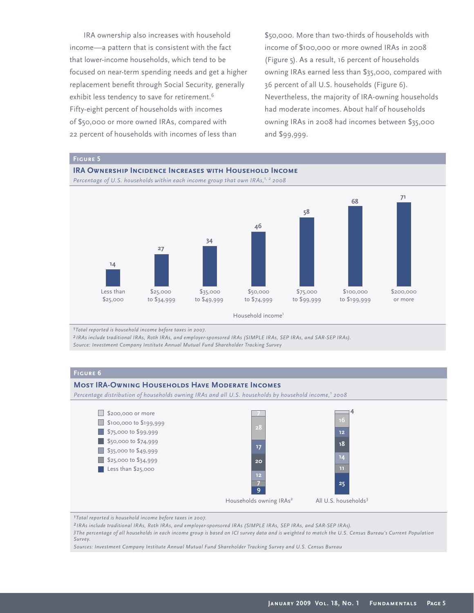IRA ownership also increases with household income—a pattern that is consistent with the fact that lower-income households, which tend to be focused on near-term spending needs and get a higher replacement benefit through Social Security, generally exhibit less tendency to save for retirement.<sup>6</sup> Fifty-eight percent of households with incomes of \$50,000 or more owned IRAs, compared with 22 percent of households with incomes of less than

\$50,000. More than two-thirds of households with income of \$100,000 or more owned IRAs in 2008 (Figure 5). As a result, 16 percent of households owning IRAs earned less than \$35,000, compared with 36 percent of all U.S. households (Figure 6). Nevertheless, the majority of IRA-owning households had moderate incomes. About half of households owning IRAs in 2008 had incomes between \$35,000 and \$99,999.



*1Total reported is household income before taxes in 2007.*

*2 IRAs include traditional IRAs, Roth IRAs, and employer-sponsored IRAs (SIMPLE IRAs, SEP IRAs, and SAR-SEP IRAs).*

*Source: Investment Company Institute Annual Mutual Fund Shareholder Tracking Survey*

## **Figure 6**

### **Most IRA-Owning Households Have Moderate Incomes**

*Percentage distribution of households owning IRAs and all U.S. households by household income,1 2008*



*1Total reported is household income before taxes in 2007.*

*2 IRAs include traditional IRAs, Roth IRAs, and employer-sponsored IRAs (SIMPLE IRAs, SEP IRAs, and SAR-SEP IRAs).*

*3The percentage of all households in each income group is based on ICI survey data and is weighted to match the U.S. Census Bureau's Current Population Survey.*

*Sources: Investment Company Institute Annual Mutual Fund Shareholder Tracking Survey and U.S. Census Bureau*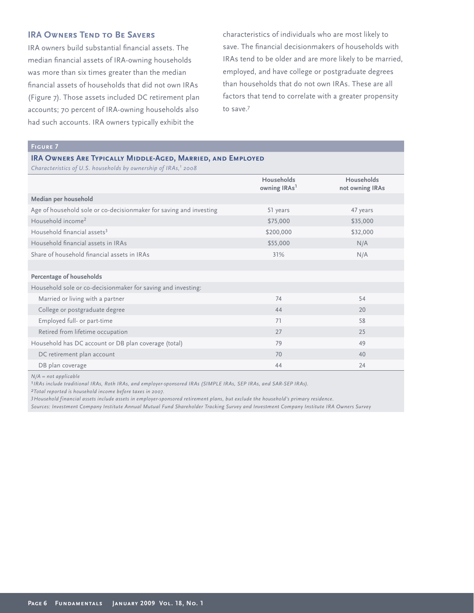# **IRA OWNERS TEND TO BE SAVERS**

IRA owners build substantial financial assets. The median financial assets of IRA-owning households was more than six times greater than the median financial assets of households that did not own IRAs (Figure 7). Those assets included DC retirement plan accounts; 70 percent of IRA-owning households also had such accounts. IRA owners typically exhibit the

characteristics of individuals who are most likely to save. The financial decisionmakers of households with IRAs tend to be older and are more likely to be married, employed, and have college or postgraduate degrees than households that do not own IRAs. These are all factors that tend to correlate with a greater propensity to save.<sup>7</sup>

# **Figure 7**

### **IRA Owners Are Typically Middle-Aged, Married, and Employed**

*Characteristics of U.S. households by ownership of IRAs,<sup>1</sup> 2008* 

|                                                                    | <b>Households</b><br>owning IRAs <sup>1</sup> | Households<br>not owning IRAs |
|--------------------------------------------------------------------|-----------------------------------------------|-------------------------------|
| Median per household                                               |                                               |                               |
| Age of household sole or co-decisionmaker for saving and investing | 51 years                                      | 47 years                      |
| Household income <sup>2</sup>                                      | \$75,000                                      | \$35,000                      |
| Household financial assets <sup>3</sup>                            | \$200,000                                     | \$32,000                      |
| Household financial assets in IRAs                                 | \$55,000                                      | N/A                           |
| Share of household financial assets in IRAs                        | 31%                                           | N/A                           |
|                                                                    |                                               |                               |
| Percentage of households                                           |                                               |                               |
| Household sole or co-decisionmaker for saving and investing:       |                                               |                               |
| Married or living with a partner                                   | 74                                            | 54                            |
| College or postgraduate degree                                     | 44                                            | 20                            |
| Employed full- or part-time                                        | 71                                            | 58                            |
| Retired from lifetime occupation                                   | 27                                            | 25                            |
| Household has DC account or DB plan coverage (total)               | 79                                            | 49                            |
| DC retirement plan account                                         | 70                                            | 40                            |
| DB plan coverage                                                   | 44                                            | 24                            |

*N/A = not applicable* 

*1IRAs include traditional IRAs, Roth IRAs, and employer-sponsored IRAs (SIMPLE IRAs, SEP IRAs, and SAR-SEP IRAs).*

*2Total reported is household income before taxes in 2007.*

*3Household financial assets include assets in employer-sponsored retirement plans, but exclude the household's primary residence.*

*Sources: Investment Company Institute Annual Mutual Fund Shareholder Tracking Survey and Investment Company Institute IRA Owners Survey*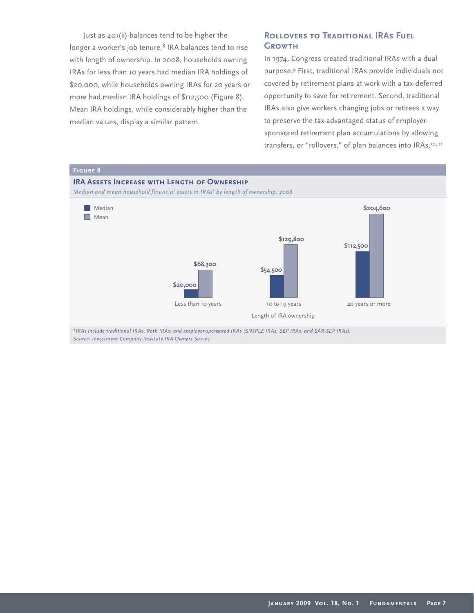Just as 401(k) balances tend to be higher the longer a worker's job tenure,<sup>8</sup> IRA balances tend to rise with length of ownership. In 2008, households owning IRAs for less than 10 years had median IRA holdings of \$20,000, while households owning IRAs for 20 years or more had median IRA holdings of \$112,500 (Figure 8). Mean IRA holdings, while considerably higher than the median values, display a similar pattern.

# **ROLLOVERS TO TRADITIONAL IRAS FUEL Growth**

In 1974, Congress created traditional IRAs with a dual purpose.<sup>9</sup> First, traditional IRAs provide individuals not covered by retirement plans at work with a tax-deferred opportunity to save for retirement. Second, traditional IRAs also give workers changing jobs or retirees a way to preserve the tax-advantaged status of employersponsored retirement plan accumulations by allowing transfers, or "rollovers," of plan balances into IRAs.<sup>10, 11</sup>



*1IRAs include traditional IRAs, Roth IRAs, and employer-sponsored IRAs (SIMPLE IRAs, SEP IRAs, and SAR-SEP IRAs). Source: Investment Company Institute IRA Owners Survey*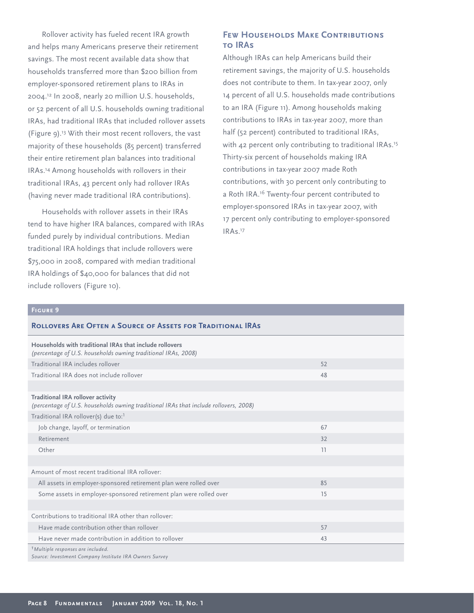Rollover activity has fueled recent IRA growth and helps many Americans preserve their retirement savings. The most recent available data show that households transferred more than \$200 billion from employer-sponsored retirement plans to IRAs in 2004.<sup>12</sup> In 2008, nearly 20 million U.S. households, or 52 percent of all U.S. households owning traditional IRAs, had traditional IRAs that included rollover assets (Figure 9).<sup>13</sup> With their most recent rollovers, the vast majority of these households (85 percent) transferred their entire retirement plan balances into traditional IRAs.<sup>14</sup> Among households with rollovers in their traditional IRAs, 43 percent only had rollover IRAs (having never made traditional IRA contributions).

Households with rollover assets in their IRAs tend to have higher IRA balances, compared with IRAs funded purely by individual contributions. Median traditional IRA holdings that include rollovers were \$75,000 in 2008, compared with median traditional IRA holdings of \$40,000 for balances that did not include rollovers (Figure 10).

# **Few Households Make Contributions to IRAs**

Although IRAs can help Americans build their retirement savings, the majority of U.S. households does not contribute to them. In tax-year 2007, only 14 percent of all U.S. households made contributions to an IRA (Figure 11). Among households making contributions to IRAs in tax-year 2007, more than half (52 percent) contributed to traditional IRAs, with 42 percent only contributing to traditional IRAs.<sup>15</sup> Thirty-six percent of households making IRA contributions in tax-year 2007 made Roth contributions, with 30 percent only contributing to a Roth IRA.<sup>16</sup> Twenty-four percent contributed to employer-sponsored IRAs in tax-year 2007, with 17 percent only contributing to employer-sponsored IRAs.<sup>17</sup>

### **Figure 9**

| <b>ROLLOVERS ARE OFTEN A SOURCE OF ASSETS FOR TRADITIONAL IRAS</b> |  |  |
|--------------------------------------------------------------------|--|--|
|                                                                    |  |  |

| Households with traditional IRAs that include rollovers<br>(percentage of U.S. households owning traditional IRAs, 2008)         |    |  |
|----------------------------------------------------------------------------------------------------------------------------------|----|--|
| Traditional IRA includes rollover                                                                                                | 52 |  |
| Traditional IRA does not include rollover                                                                                        | 48 |  |
|                                                                                                                                  |    |  |
| <b>Traditional IRA rollover activity</b><br>(percentage of U.S. households owning traditional IRAs that include rollovers, 2008) |    |  |
| Traditional IRA rollover(s) due to: <sup>1</sup>                                                                                 |    |  |
| Job change, layoff, or termination                                                                                               | 67 |  |
| Retirement                                                                                                                       | 32 |  |
| Other                                                                                                                            | 11 |  |
|                                                                                                                                  |    |  |
| Amount of most recent traditional IRA rollover:                                                                                  |    |  |
| All assets in employer-sponsored retirement plan were rolled over                                                                | 85 |  |
| Some assets in employer-sponsored retirement plan were rolled over                                                               | 15 |  |
|                                                                                                                                  |    |  |
| Contributions to traditional IRA other than rollover:                                                                            |    |  |
| Have made contribution other than rollover                                                                                       | 57 |  |
| Have never made contribution in addition to rollover                                                                             | 43 |  |
| <sup>1</sup> Multiple responses are included.<br>Source: Investment Company Institute IRA Owners Survey                          |    |  |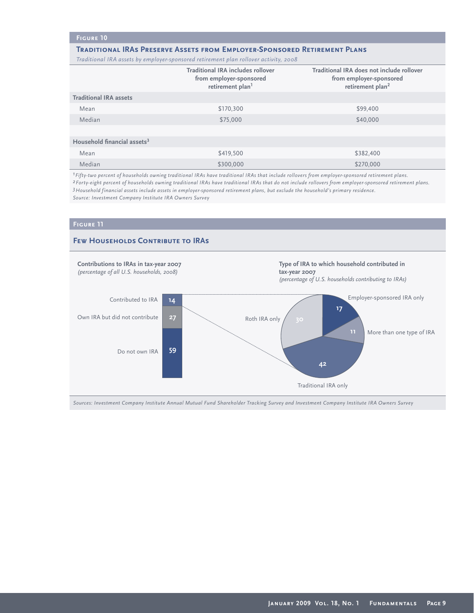# **Figure 10**

### **Traditional IRAs Preserve Assets from Employer-Sponsored Retirement Plans**

*Traditional IRA assets by employer-sponsored retirement plan rollover activity, 2008*

|                                         | <b>Traditional IRA includes rollover</b><br>from employer-sponsored<br>retirement plan <sup>1</sup> | Traditional IRA does not include rollover<br>from employer-sponsored<br>retirement plan <sup>2</sup> |
|-----------------------------------------|-----------------------------------------------------------------------------------------------------|------------------------------------------------------------------------------------------------------|
| <b>Traditional IRA assets</b>           |                                                                                                     |                                                                                                      |
| Mean                                    | \$170,300                                                                                           | \$99,400                                                                                             |
| Median                                  | \$75,000                                                                                            | \$40,000                                                                                             |
|                                         |                                                                                                     |                                                                                                      |
| Household financial assets <sup>3</sup> |                                                                                                     |                                                                                                      |
| Mean                                    | \$419,500                                                                                           | \$382,400                                                                                            |
| Median                                  | \$300,000                                                                                           | \$270,000                                                                                            |

*1Fifty-two percent of households owning traditional IRAs have traditional IRAs that include rollovers from employer-sponsored retirement plans. 2Forty-eight percent of households owning traditional IRAs have traditional IRAs that do not include rollovers from employer-sponsored retirement plans. 3Household financial assets include assets in employer-sponsored retirement plans, but exclude the household's primary residence. Source: Investment Company Institute IRA Owners Survey* 



*Sources: Investment Company Institute Annual Mutual Fund Shareholder Tracking Survey and Investment Company Institute IRA Owners Survey*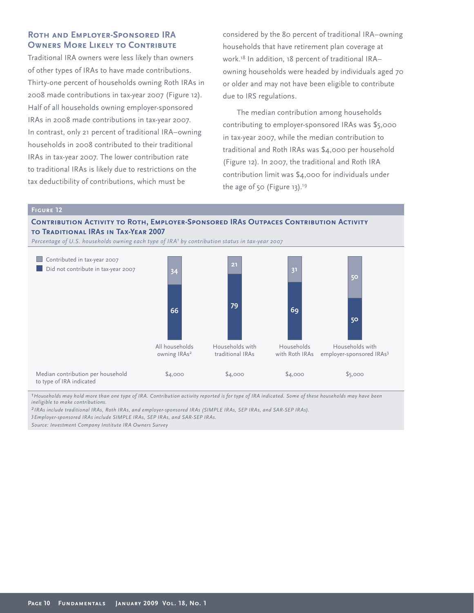# **Roth and Employer-Sponsored IRA OWNERS MORE LIKELY TO CONTRIBUTE**

Traditional IRA owners were less likely than owners of other types of IRAs to have made contributions. Thirty-one percent of households owning Roth IRAs in 2008 made contributions in tax-year 2007 (Figure 12). Half of all households owning employer-sponsored IRAs in 2008 made contributions in tax-year 2007. In contrast, only 21 percent of traditional IRA–owning households in 2008 contributed to their traditional IRAs in tax-year 2007. The lower contribution rate to traditional IRAs is likely due to restrictions on the tax deductibility of contributions, which must be

considered by the 80 percent of traditional IRA–owning households that have retirement plan coverage at work.<sup>18</sup> In addition, 18 percent of traditional IRA– owning households were headed by individuals aged 70 or older and may not have been eligible to contribute due to IRS regulations.

The median contribution among households contributing to employer-sponsored IRAs was \$5,000 in tax-year 2007, while the median contribution to traditional and Roth IRAs was \$4,000 per household (Figure 12). In 2007, the traditional and Roth IRA contribution limit was \$4,000 for individuals under the age of 50 (Figure 13).<sup>19</sup>

\$5,000

\$4,000

### **Figure 12**

# **CONTRIBUTION ACTIVITY TO ROTH, EMPLOYER-SPONSORED IRAS OUTPACES CONTRIBUTION ACTIVITY to Traditional IRAs in Tax-Year 2007**



*1Households may hold more than one type of IRA. Contribution activity reported is for type of IRA indicated. Some of these households may have been ineligible to make contributions.*

\$4,000

*2 IRAs include traditional IRAs, Roth IRAs, and employer-sponsored IRAs (SIMPLE IRAs, SEP IRAs, and SAR-SEP IRAs).*

\$4,000

*3Employer-sponsored IRAs include SIMPLE IRAs, SEP IRAs, and SAR-SEP IRAs.*

*Source: Investment Company Institute IRA Owners Survey*

Median contribution per household

to type of IRA indicated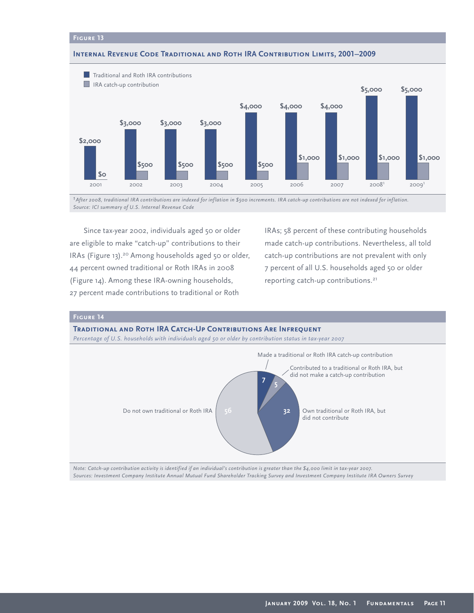### **Internal Revenue Code Traditional and Roth IRA Contribution Limits, 2001–2009**



*1After 2008, traditional IRA contributions are indexed for inflation in \$500 increments. IRA catch-up contributions are not indexed for inflation. Source: ICI summary of U.S. Internal Revenue Code*

Since tax-year 2002, individuals aged 50 or older are eligible to make "catch-up" contributions to their IRAs (Figure 13).20 Among households aged 50 or older, 44 percent owned traditional or Roth IRAs in 2008 (Figure 14). Among these IRA-owning households, 27 percent made contributions to traditional or Roth

IRAs; 58 percent of these contributing households made catch-up contributions. Nevertheless, all told catch-up contributions are not prevalent with only 7 percent of all U.S. households aged 50 or older reporting catch-up contributions.<sup>21</sup>



*Note: Catch-up contribution activity is identified if an individual's contribution is greater than the \$4,000 limit in tax-year 2007. Sources: Investment Company Institute Annual Mutual Fund Shareholder Tracking Survey and Investment Company Institute IRA Owners Survey*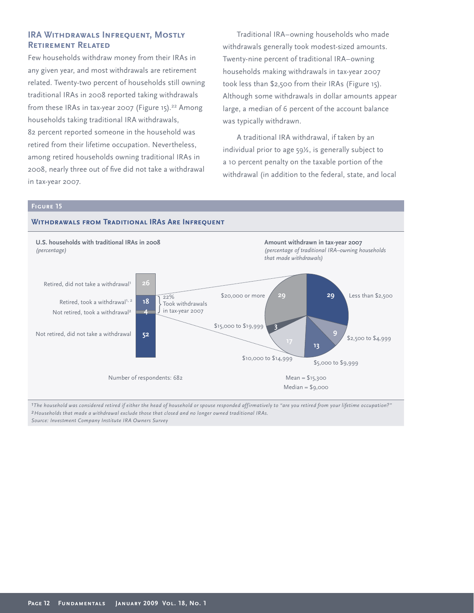# **IRA WITHDRAWALS INFREQUENT, MOSTLY Retirement Related**

Few households withdraw money from their IRAs in any given year, and most withdrawals are retirement related. Twenty-two percent of households still owning traditional IRAs in 2008 reported taking withdrawals from these IRAs in tax-year 2007 (Figure 15).<sup>22</sup> Among households taking traditional IRA withdrawals, 82 percent reported someone in the household was retired from their lifetime occupation. Nevertheless, among retired households owning traditional IRAs in 2008, nearly three out of five did not take a withdrawal in tax-year 2007.

Traditional IRA–owning households who made withdrawals generally took modest-sized amounts. Twenty-nine percent of traditional IRA–owning households making withdrawals in tax-year 2007 took less than \$2,500 from their IRAs (Figure 15). Although some withdrawals in dollar amounts appear large, a median of 6 percent of the account balance was typically withdrawn.

A traditional IRA withdrawal, if taken by an individual prior to age 59½, is generally subject to a 10 percent penalty on the taxable portion of the withdrawal (in addition to the federal, state, and local

### **Figure 15**

# **Withdrawals from Traditional IRAs Are Infrequent**



*1The household was considered retired if either the head of household or spouse responded affirmatively to "are you retired from your lifetime occupation?" 2Households that made a withdrawal exclude those that closed and no longer owned traditional IRAs. Source: Investment Company Institute IRA Owners Survey*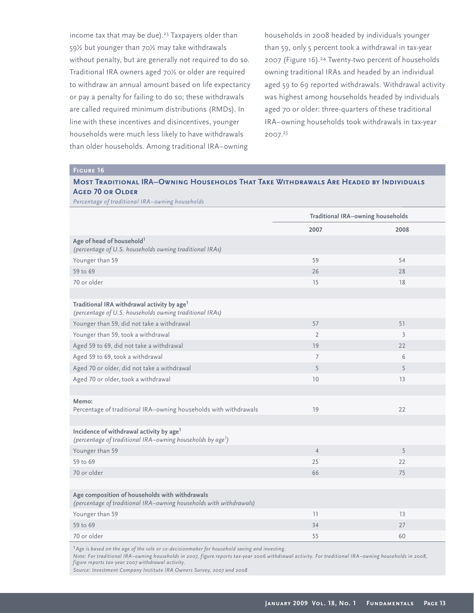income tax that may be due).<sup>23</sup> Taxpayers older than 59½ but younger than 70½ may take withdrawals without penalty, but are generally not required to do so. Traditional IRA owners aged 70½ or older are required to withdraw an annual amount based on life expectancy or pay a penalty for failing to do so; these withdrawals are called required minimum distributions (RMDs). In line with these incentives and disincentives, younger households were much less likely to have withdrawals than older households. Among traditional IRA–owning

households in 2008 headed by individuals younger than 59, only 5 percent took a withdrawal in tax-year 2007 (Figure 16).<sup>24</sup> Twenty-two percent of households owning traditional IRAs and headed by an individual aged 59 to 69 reported withdrawals. Withdrawal activity was highest among households headed by individuals aged 70 or older: three-quarters of these traditional IRA–owning households took withdrawals in tax-year 2007.<sup>25</sup>

| <b>MOST TRADITIONAL IRA–OWNING HOUSEHOLDS THAT TAKE WITHDRAWALS ARE HEADED BY INDIVIDUALS</b> |  |
|-----------------------------------------------------------------------------------------------|--|
| <b>AGED 70 OR OLDER</b>                                                                       |  |

*Percentage of traditional IRA–owning households*

|                                                                                                                                | <b>Traditional IRA-owning households</b> |                |
|--------------------------------------------------------------------------------------------------------------------------------|------------------------------------------|----------------|
|                                                                                                                                | 2007                                     | 2008           |
| Age of head of household <sup>1</sup><br>(percentage of U.S. households owning traditional IRAs)                               |                                          |                |
| Younger than 59                                                                                                                | 59                                       | 54             |
| 59 to 69                                                                                                                       | 26                                       | 28             |
| 70 or older                                                                                                                    | 15                                       | 18             |
|                                                                                                                                |                                          |                |
| Traditional IRA withdrawal activity by age <sup>1</sup><br>(percentage of U.S. households owning traditional IRAs)             |                                          |                |
| Younger than 59, did not take a withdrawal                                                                                     | 57                                       | 51             |
| Younger than 59, took a withdrawal                                                                                             | $\overline{2}$                           | $\overline{3}$ |
| Aged 59 to 69, did not take a withdrawal                                                                                       | 19                                       | 22             |
| Aged 59 to 69, took a withdrawal                                                                                               | $\overline{7}$                           | 6              |
| Aged 70 or older, did not take a withdrawal                                                                                    | 5                                        | 5              |
| Aged 70 or older, took a withdrawal                                                                                            | 10                                       | 13             |
|                                                                                                                                |                                          |                |
| Memo:<br>Percentage of traditional IRA-owning households with withdrawals                                                      | 19                                       | 22             |
|                                                                                                                                |                                          |                |
| Incidence of withdrawal activity by age <sup>1</sup><br>(percentage of traditional IRA-owning households by age <sup>1</sup> ) |                                          |                |
| Younger than 59                                                                                                                | $\overline{4}$                           | 5              |
| 59 to 69                                                                                                                       | 25                                       | 22             |
| 70 or older                                                                                                                    | 66                                       | 75             |
|                                                                                                                                |                                          |                |
| Age composition of households with withdrawals<br>(percentage of traditional IRA-owning households with withdrawals)           |                                          |                |
| Younger than 59                                                                                                                | 11                                       | 13             |
| 59 to 69                                                                                                                       | 34                                       | 27             |
| 70 or older                                                                                                                    | 55                                       | 60             |

*1Age is based on the age of the sole or co-decisionmaker for household saving and investing.*

*Note: For traditional IRA–owning households in 2007, figure reports tax-year 2006 withdrawal activity. For traditional IRA–owning households in 2008, figure reports tax-year 2007 withdrawal activity.*

*Source: Investment Company Institute IRA Owners Survey, 2007 and 2008*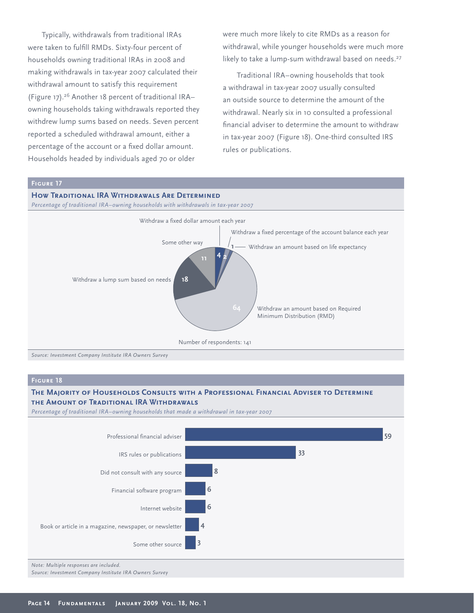Typically, withdrawals from traditional IRAs were taken to fulfill RMDs. Sixty-four percent of households owning traditional IRAs in 2008 and making withdrawals in tax-year 2007 calculated their withdrawal amount to satisfy this requirement (Figure 17).<sup>26</sup> Another 18 percent of traditional IRA– owning households taking withdrawals reported they withdrew lump sums based on needs. Seven percent reported a scheduled withdrawal amount, either a percentage of the account or a fixed dollar amount. Households headed by individuals aged 70 or older

were much more likely to cite RMDs as a reason for withdrawal, while younger households were much more likely to take a lump-sum withdrawal based on needs.<sup>27</sup>

Traditional IRA–owning households that took a withdrawal in tax-year 2007 usually consulted an outside source to determine the amount of the withdrawal. Nearly six in 10 consulted a professional financial adviser to determine the amount to withdraw in tax-year 2007 (Figure 18). One-third consulted IRS rules or publications.

## **HOW TRADITIONAL IRA WITHDRAWALS ARE DETERMINED**

*Percentage of traditional IRA–owning households with withdrawals in tax-year 2007*



# **The Majority of Households Consults with a Professional Financial Adviser to Determine the Amount of Traditional IRA Withdrawals**

*Percentage of traditional IRA–owning households that made a withdrawal in tax-year 2007* 

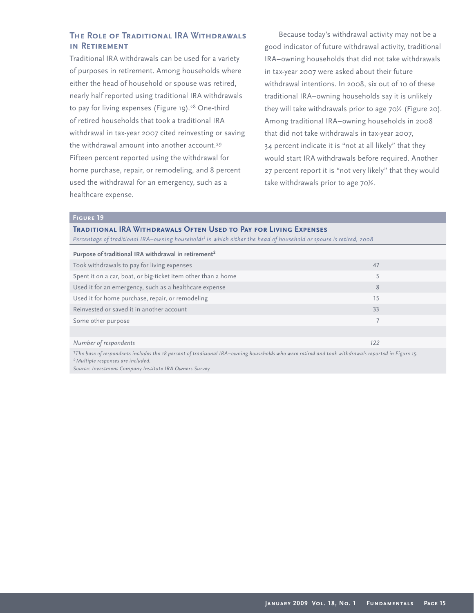# **The Role of Traditional IRA Withdrawals in Retirement**

Traditional IRA withdrawals can be used for a variety of purposes in retirement. Among households where either the head of household or spouse was retired, nearly half reported using traditional IRA withdrawals to pay for living expenses (Figure 19).<sup>28</sup> One-third of retired households that took a traditional IRA withdrawal in tax-year 2007 cited reinvesting or saving the withdrawal amount into another account.<sup>29</sup> Fifteen percent reported using the withdrawal for home purchase, repair, or remodeling, and 8 percent used the withdrawal for an emergency, such as a healthcare expense.

Because today's withdrawal activity may not be a good indicator of future withdrawal activity, traditional IRA–owning households that did not take withdrawals in tax-year 2007 were asked about their future withdrawal intentions. In 2008, six out of 10 of these traditional IRA–owning households say it is unlikely they will take withdrawals prior to age 70½ (Figure 20). Among traditional IRA–owning households in 2008 that did not take withdrawals in tax-year 2007, 34 percent indicate it is "not at all likely" that they would start IRA withdrawals before required. Another 27 percent report it is "not very likely" that they would take withdrawals prior to age 70½.

## **Figure 19**

# **Traditional IRA Withdrawals Often Used to Pay for Living Expenses**

*Percentage of traditional IRA–owning households1 in which either the head of household or spouse is retired, 2008* 

| Purpose of traditional IRA withdrawal in retirement <sup>2</sup> |     |  |
|------------------------------------------------------------------|-----|--|
| Took withdrawals to pay for living expenses                      | 47  |  |
| Spent it on a car, boat, or big-ticket item other than a home    |     |  |
| Used it for an emergency, such as a healthcare expense           | 8   |  |
| Used it for home purchase, repair, or remodeling                 | 15  |  |
| Reinvested or saved it in another account                        | 33  |  |
| Some other purpose                                               |     |  |
|                                                                  |     |  |
| Number of respondents                                            | 122 |  |

*1The base of respondents includes the 18 percent of traditional IRA–owning households who were retired and took withdrawals reported in Figure 15. 2Multiple responses are included.*

*Source: Investment Company Institute IRA Owners Survey*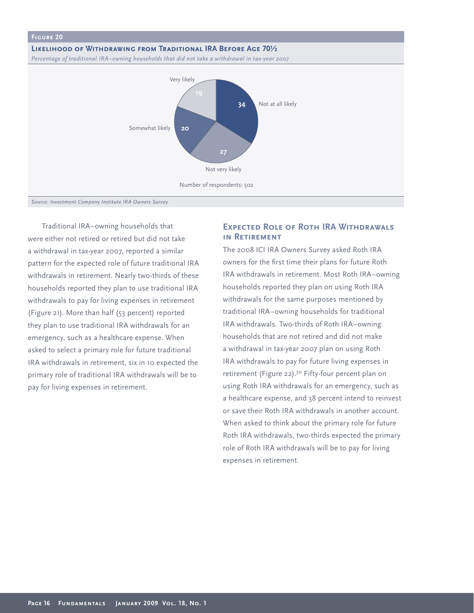

Traditional IRA–owning households that were either not retired or retired but did not take a withdrawal in tax-year 2007, reported a similar pattern for the expected role of future traditional IRA withdrawals in retirement. Nearly two-thirds of these households reported they plan to use traditional IRA withdrawals to pay for living expenses in retirement (Figure 21). More than half (53 percent) reported they plan to use traditional IRA withdrawals for an emergency, such as a healthcare expense. When asked to select a primary role for future traditional IRA withdrawals in retirement, six in 10 expected the primary role of traditional IRA withdrawals will be to pay for living expenses in retirement.

# **Expected Role of Roth IRA Withdrawals in Retirement**

The 2008 ICI IRA Owners Survey asked Roth IRA owners for the first time their plans for future Roth IRA withdrawals in retirement. Most Roth IRA–owning households reported they plan on using Roth IRA withdrawals for the same purposes mentioned by traditional IRA–owning households for traditional IRA withdrawals. Two-thirds of Roth IRA–owning households that are not retired and did not make a withdrawal in tax-year 2007 plan on using Roth IRA withdrawals to pay for future living expenses in retirement (Figure 22).<sup>30</sup> Fifty-four percent plan on using Roth IRA withdrawals for an emergency, such as a healthcare expense, and 38 percent intend to reinvest or save their Roth IRA withdrawals in another account. When asked to think about the primary role for future Roth IRA withdrawals, two-thirds expected the primary role of Roth IRA withdrawals will be to pay for living expenses in retirement.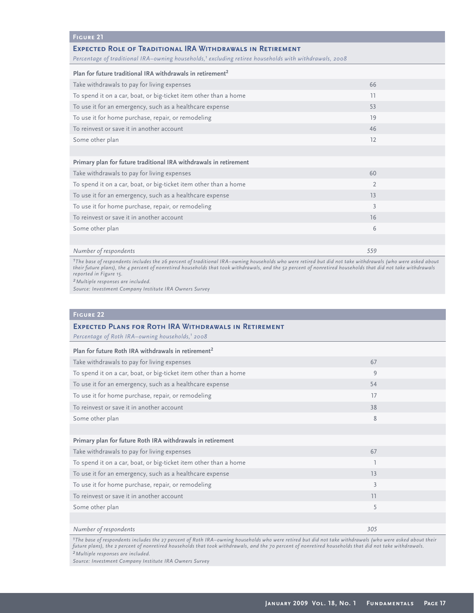### **Figure 21**

### **Expected Role of Traditional IRA Withdrawals in Retirement**

Percentage of traditional IRA-owning households,<sup>1</sup> excluding retiree households with withdrawals, 2008

| Plan for future traditional IRA withdrawals in retirement <sup>2</sup> |                |  |
|------------------------------------------------------------------------|----------------|--|
| Take withdrawals to pay for living expenses                            | 66             |  |
| To spend it on a car, boat, or big-ticket item other than a home       | 11             |  |
| To use it for an emergency, such as a healthcare expense               | 53             |  |
| To use it for home purchase, repair, or remodeling                     | 19             |  |
| To reinvest or save it in another account                              | 46             |  |
| Some other plan                                                        | 12             |  |
|                                                                        |                |  |
| Primary plan for future traditional IRA withdrawals in retirement      |                |  |
| Take withdrawals to pay for living expenses                            | 60             |  |
| To spend it on a car, boat, or big-ticket item other than a home       | $\overline{2}$ |  |
| To use it for an emergency, such as a healthcare expense               | 13             |  |
| To use it for home purchase, repair, or remodeling                     | 3              |  |
| To reinvest or save it in another account                              | 16             |  |
| Some other plan                                                        | 6              |  |
|                                                                        |                |  |
| Number of respondents                                                  | 559            |  |

*1The base of respondents includes the 26 percent of traditional IRA–owning households who were retired but did not take withdrawals (who were asked about their future plans), the 4 percent of nonretired households that took withdrawals, and the 52 percent of nonretired households that did not take withdrawals reported in Figure 15.*

*2Multiple responses are included.*

*Source: Investment Company Institute IRA Owners Survey* 

## **Figure 22**

# **Expected Plans for Roth IRA Withdrawals in Retirement** *Percentage of Roth IRA–owning households,1 2008* **Plan for future Roth IRA withdrawals in retirement<sup>2</sup>** Take withdrawals to pay for living expenses 67 and 10 minutes for the control of the control of the control of the control of the control of the control of the control of the control of the control of the control of the co To spend it on a car, boat, or big-ticket item other than a home 9 To use it for an emergency, such as a healthcare expense 54 To use it for home purchase, repair, or remodeling 17 and 17 and 17 and 17 and 17 and 17 and 17 and 17 and 17 and 17 and 17 and 17 and 17 and 17 and 17 and 17 and 17 and 17 and 17 and 17 and 17 and 17 and 17 and 17 and 17 To reinvest or save it in another account 38 Some other plan 8 and 8 and 8 and 8 and 8 and 8 and 8 and 8 and 8 and 8 and 8 and 8 and 8 and 8 and 8 and 8 and 8 and 8 and 8 and 8 and 8 and 8 and 8 and 8 and 8 and 8 and 8 and 8 and 8 and 8 and 8 and 8 and 8 and 8 and 8 **Primary plan for future Roth IRA withdrawals in retirement** Take withdrawals to pay for living expenses 67 and 100 minutes for the control of the control of the control of the control of the control of the control of the control of the control of the control of the control of the c To spend it on a car, boat, or big-ticket item other than a home 1 To use it for an emergency, such as a healthcare expense 13 and 13 and 13 and 13 and 13 and 13 and 13 and 13 and 13 and 13 and 13 and 13 and 13 and 13 and 13 and 13 and 13 and 13 and 13 and 13 and 13 and 13 and 13 and 13 a To use it for home purchase, repair, or remodeling 3 3 To reinvest or save it in another account 11 Some other plan 5 Some of the state of the state of the state of the state of the state of the state of the state of the state of the state of the state of the state of the state of the state of the state of the state of t

### *Number of respondents 305*

*1The base of respondents includes the 27 percent of Roth IRA–owning households who were retired but did not take withdrawals (who were asked about their future plans), the 2 percent of nonretired households that took withdrawals, and the 70 percent of nonretired households that did not take withdrawals. 2Multiple responses are included.*

*Source: Investment Company Institute IRA Owners Survey*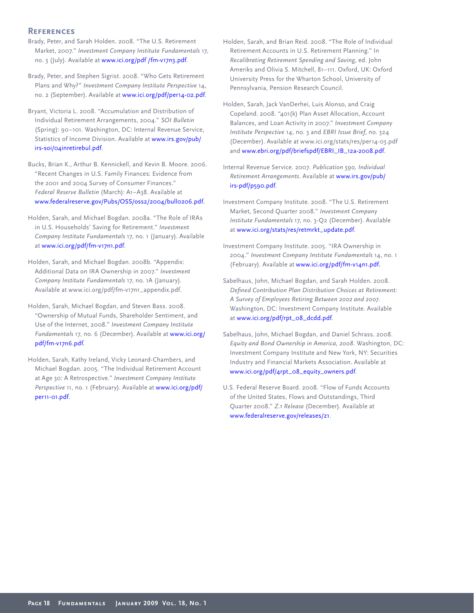# **References**

- Brady, Peter, and Sarah Holden. 2008. "The U.S. Retirement Market, 2007." *Investment Company Institute Fundamentals* 17, no. 3 (July). Available at www.ici.org/pdf/fm-v17n3.pdf.
- Brady, Peter, and Stephen Sigrist. 2008. "Who Gets Retirement Plans and Why?" *Investment Company Institute Perspective* 14, no. 2 (September). Available at www.ici.org/pdf/per14-02.pdf.
- Bryant, Victoria L. 2008. "Accumulation and Distribution of Individual Retirement Arrangements, 2004." *SOI Bulletin*  (Spring): 90–101. Washington, DC: Internal Revenue Service, Statistics of Income Division. Available a[t www.irs.gov/pub/](http://www.irs.gov/pub/irs-soi/04inretirebul.pdf) [irs-soi/04inretirebul.pdf.](http://www.irs.gov/pub/irs-soi/04inretirebul.pdf)
- Bucks, Brian K., Arthur B. Kennickell, and Kevin B. Moore. 2006. "Recent Changes in U.S. Family Finances: Evidence from the 2001 and 2004 Survey of Consumer Finances." *Federal Reserve Bulletin* (March): A1–A38. Available at [www.federalreserve.gov/Pubs/OSS/oss2/2004/bull0206.pdf.](http://www.federalreserve.gov/Pubs/OSS/oss2/2004/bull0206.pdf.)
- Holden, Sarah, and Michael Bogdan. 2008a. "The Role of IRAs in U.S. Households' Saving for Retirement." *Investment Company Institute Fundamentals* 17, no. 1 (January). Available at [www.ici.org/pdf/fm-v17n1.pdf.](http://www.ici.org/pdf/fm-v17n1.pdf)
- Holden, Sarah, and Michael Bogdan. 2008b. "Appendix: Additional Data on IRA Ownership in 2007." *Investment Company Institute Fundamentals* 17, no. 1A (January). Available at www.ici.org/pdf/fm-v17n1\_appendix.pdf.
- Holden, Sarah, Michael Bogdan, and Steven Bass. 2008. "Ownership of Mutual Funds, Shareholder Sentiment, and Use of the Internet, 2008." *Investment Company Institute Fundamentals* 17, no. 6 (December). Available a[t www.ici.org/](http://www.ici.org/pdf/fm-v17n6.pdf) [pdf/fm-v17n6.pdf.](http://www.ici.org/pdf/fm-v17n6.pdf)
- Holden, Sarah, Kathy Ireland, Vicky Leonard-Chambers, and Michael Bogdan. 2005. "The Individual Retirement Account at Age 30: A Retrospective." *Investment Company Institute*  Perspective 11, no. 1 (February). Available a[t www.ici.org/pdf/](http://www.ici.org/pdf/per11-01.pdf) [per11-01.pdf.](http://www.ici.org/pdf/per11-01.pdf)
- Holden, Sarah, and Brian Reid. 2008. "The Role of Individual Retirement Accounts in U.S. Retirement Planning." In *Recalibrating Retirement Spending and Saving*, ed. John Ameriks and Olivia S. Mitchell, 81–111. Oxford, UK: Oxford University Press for the Wharton School, University of Pennsylvania, Pension Research Council.
- Holden, Sarah, Jack VanDerhei, Luis Alonso, and Craig Copeland. 2008. "401(k) Plan Asset Allocation, Account Balances, and Loan Activity in 2007." *Investment Company Institute Perspective* 14, no. 3 and *EBRI Issue Brief*, no. 324 (December). Available at www.ici.org/stats/res/per14-03.pdf an[d www.ebri.org/pdf/briefspdf/EBRI\\_IB\\_12a-2008.pdf.](http://www.ebri.org/pdf/briefspdf/EBRI_IB_12a-2008.pdf)
- Internal Revenue Service. 2007. *Publication 590, Individual Retirement Arrangements*. Available [at www.irs.gov/pub/](http://www.irs.gov/pub/irs-pdf/p590.pdf) [irs-pdf/p590.pdf.](http://www.irs.gov/pub/irs-pdf/p590.pdf)
- Investment Company Institute. 2008. "The U.S. Retirement Market, Second Quarter 2008." *Investment Company Institute Fundamentals* 17, no. 3-Q2 (December). Available at [www.ici.org/stats/res/retmrkt\\_update.pdf.](http://www.ici.org/stats/res/retmrkt_update.pdf)
- Investment Company Institute. 2005. "IRA Ownership in 2004." *Investment Company Institute Fundamentals* 14, no. 1 (February). Available a[t www.ici.org/pdf/fm-v14n1.pdf.](http://www.ici.org/pdf/fm-v14n1.pdf.)
- Sabelhaus, John, Michael Bogdan, and Sarah Holden. 2008. *Defi ned Contribution Plan Distribution Choices at Retirement: A Survey of Employees Retiring Between 2002 and 2007*. Washington, DC: Investment Company Institute. Available at [www.ici.org/pdf/rpt\\_08\\_dcdd.pdf.](http://www.ici.org/pdf/rpt_08_dcdd.pdf)
- Sabelhaus, John, Michael Bogdan, and Daniel Schrass. 2008. *Equity and Bond Ownership in America, 2008*. Washington, DC: Investment Company Institute and New York, NY: Securities Industry and Financial Markets Association. Available at [www.ici.org/pdf/4rpt\\_08\\_equity\\_owners.pdf.](http://www.ici.org/pdf/4rpt_08_equity_owners.pdf)
- U.S. Federal Reserve Board. 2008. "Flow of Funds Accounts of the United States, Flows and Outstandings, Third Quarter 2008." *Z.1 Release* (December). Available at www.federalreserve.gov/releases/z1.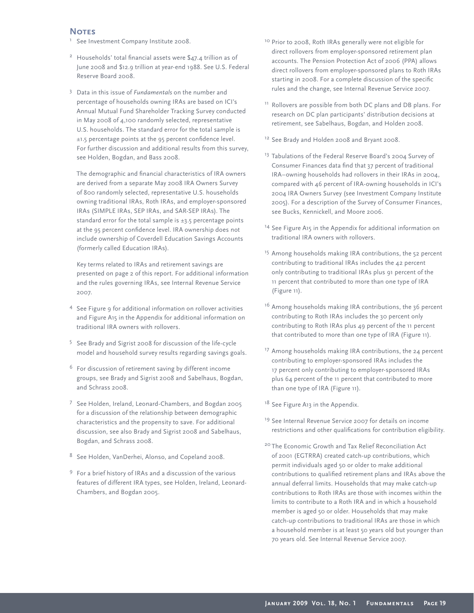### **NOTES**

- <sup>1</sup> See Investment Company Institute 2008.
- <sup>2</sup> Households' total financial assets were  $$47.4$  trillion as of June 2008 and \$12.9 trillion at year-end 1988. See U.S. Federal Reserve Board 2008.
- <sup>3</sup> Data in this issue of *Fundamentals* on the number and percentage of households owning IRAs are based on ICI's Annual Mutual Fund Shareholder Tracking Survey conducted in May 2008 of 4,100 randomly selected, representative U.S. households. The standard error for the total sample is  $±1.5$  percentage points at the 95 percent confidence level. For further discussion and additional results from this survey, see Holden, Bogdan, and Bass 2008.

The demographic and financial characteristics of IRA owners are derived from a separate May 2008 IRA Owners Survey of 800 randomly selected, representative U.S. households owning traditional IRAs, Roth IRAs, and employer-sponsored IRAs (SIMPLE IRAs, SEP IRAs, and SAR-SEP IRAs). The standard error for the total sample is  $\pm$ 3.5 percentage points at the 95 percent confidence level. IRA ownership does not include ownership of Coverdell Education Savings Accounts (formerly called Education IRAs).

 Key terms related to IRAs and retirement savings are presented on page 2 of this report. For additional information and the rules governing IRAs, see Internal Revenue Service 2007.

- 4 See Figure 9 for additional information on rollover activities and Figure A15 in the Appendix for additional information on traditional IRA owners with rollovers.
- <sup>5</sup> See Brady and Sigrist 2008 for discussion of the life-cycle model and household survey results regarding savings goals.
- $6$  For discussion of retirement saving by different income groups, see Brady and Sigrist 2008 and Sabelhaus, Bogdan, and Schrass 2008.
- <sup>7</sup> See Holden, Ireland, Leonard-Chambers, and Bogdan 2005 for a discussion of the relationship between demographic characteristics and the propensity to save. For additional discussion, see also Brady and Sigrist 2008 and Sabelhaus, Bogdan, and Schrass 2008.
- <sup>8</sup> See Holden, VanDerhei, Alonso, and Copeland 2008.
- <sup>9</sup> For a brief history of IRAs and a discussion of the various features of different IRA types, see Holden, Ireland, Leonard-Chambers, and Bogdan 2005.
- <sup>10</sup> Prior to 2008, Roth IRAs generally were not eligible for direct rollovers from employer-sponsored retirement plan accounts. The Pension Protection Act of 2006 (PPA) allows direct rollovers from employer-sponsored plans to Roth IRAs starting in 2008. For a complete discussion of the specific rules and the change, see Internal Revenue Service 2007.
- <sup>11</sup> Rollovers are possible from both DC plans and DB plans. For research on DC plan participants' distribution decisions at retirement, see Sabelhaus, Bogdan, and Holden 2008.
- <sup>12</sup> See Brady and Holden 2008 and Bryant 2008.
- <sup>13</sup> Tabulations of the Federal Reserve Board's 2004 Survey of Consumer Finances data find that 37 percent of traditional IRA–owning households had rollovers in their IRAs in 2004, compared with 46 percent of IRA-owning households in ICI's 2004 IRA Owners Survey (see Investment Company Institute 2005). For a description of the Survey of Consumer Finances, see Bucks, Kennickell, and Moore 2006.
- <sup>14</sup> See Figure A15 in the Appendix for additional information on traditional IRA owners with rollovers.
- <sup>15</sup> Among households making IRA contributions, the 52 percent contributing to traditional IRAs includes the 42 percent only contributing to traditional IRAs plus 91 percent of the 11 percent that contributed to more than one type of IRA (Figure 11).
- $16$  Among households making IRA contributions, the 36 percent contributing to Roth IRAs includes the 30 percent only contributing to Roth IRAs plus 49 percent of the 11 percent that contributed to more than one type of IRA (Figure 11).
- <sup>17</sup> Among households making IRA contributions, the 24 percent contributing to employer-sponsored IRAs includes the 17 percent only contributing to employer-sponsored IRAs plus 64 percent of the 11 percent that contributed to more than one type of IRA (Figure 11).

<sup>18</sup> See Figure A13 in the Appendix.

- <sup>19</sup> See Internal Revenue Service 2007 for details on income restrictions and other qualifications for contribution eligibility.
- <sup>20</sup> The Economic Growth and Tax Relief Reconciliation Act of 2001 (EGTRRA) created catch-up contributions, which permit individuals aged 50 or older to make additional contributions to qualified retirement plans and IRAs above the annual deferral limits. Households that may make catch-up contributions to Roth IRAs are those with incomes within the limits to contribute to a Roth IRA and in which a household member is aged 50 or older. Households that may make catch-up contributions to traditional IRAs are those in which a household member is at least 50 years old but younger than 70 years old. See Internal Revenue Service 2007.